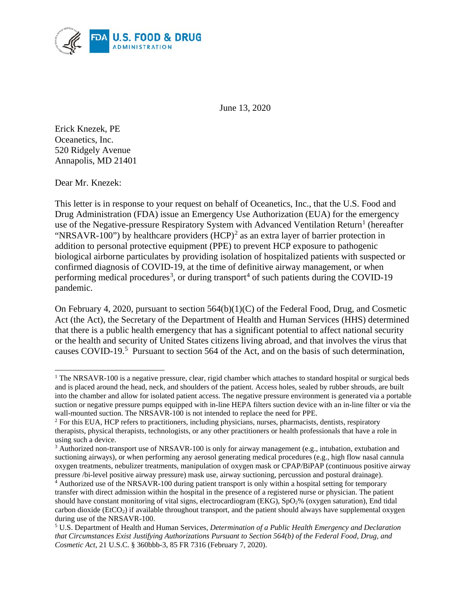<span id="page-0-5"></span>

June 13, 2020

Erick Knezek, PE Oceanetics, Inc. 520 Ridgely Avenue Annapolis, MD 21401

Dear Mr. Knezek:

This letter is in response to your request on behalf of Oceanetics, Inc., that the U.S. Food and Drug Administration (FDA) issue an Emergency Use Authorization (EUA) for the emergency use of the Negative-pressure Respiratory System with Advanced Ventilation Return<sup>[1](#page-0-0)</sup> (hereafter "NRSAVR-100") by healthcare providers  $(HCP)^2$  $(HCP)^2$  as an extra layer of barrier protection in addition to personal protective equipment (PPE) to prevent HCP exposure to pathogenic biological airborne particulates by providing isolation of hospitalized patients with suspected or confirmed diagnosis of COVID-19, at the time of definitive airway management, or when performing medical procedures<sup>[3](#page-0-2)</sup>, or during transport<sup>[4](#page-0-3)</sup> of such patients during the COVID-19 pandemic.

On February 4, 2020, pursuant to section 564(b)(1)(C) of the Federal Food, Drug, and Cosmetic Act (the Act), the Secretary of the Department of Health and Human Services (HHS) determined that there is a public health emergency that has a significant potential to affect national security or the health and security of United States citizens living abroad, and that involves the virus that causes COVID-19.<sup>[5](#page-0-4)</sup> Pursuant to section 564 of the Act, and on the basis of such determination,

<span id="page-0-0"></span><sup>&</sup>lt;sup>1</sup> The NRSAVR-100 is a negative pressure, clear, rigid chamber which attaches to standard hospital or surgical beds and is placed around the head, neck, and shoulders of the patient. Access holes, sealed by rubber shrouds, are built into the chamber and allow for isolated patient access. The negative pressure environment is generated via a portable suction or negative pressure pumps equipped with in-line HEPA filters suction device with an in-line filter or via the wall-mounted suction. The NRSAVR-100 is not intended to replace the need for PPE.<br><sup>2</sup> For this EUA, HCP refers to practitioners, including physicians, nurses, pharmacists, dentists, respiratory

<span id="page-0-1"></span>therapists, physical therapists, technologists, or any other practitioners or health professionals that have a role in using such a device.

<span id="page-0-2"></span><sup>&</sup>lt;sup>3</sup> Authorized non-transport use of NRSAVR-100 is only for airway management (e.g., intubation, extubation and suctioning airways), or when performing any aerosol generating medical procedures (e.g., high flow nasal cannula oxygen treatments, nebulizer treatments, manipulation of oxygen mask or CPAP/BiPAP (continuous positive airway pressure /bi-level positive airway pressure) mask use, airway suctioning, percussion and postural drainage).

<span id="page-0-3"></span><sup>4</sup> Authorized use of the NRSAVR-100 during patient transport is only within a hospital setting for temporary transfer with direct admission within the hospital in the presence of a registered nurse or physician. The patient should have constant monitoring of vital signs, electrocardiogram (EKG),  $SpO<sub>2</sub>%$  (oxygen saturation), End tidal carbon dioxide ( $E(CO_2)$  if available throughout transport, and the patient should always have supplemental oxygen during use of the NRSAVR-100.

<span id="page-0-4"></span><sup>&</sup>lt;sup>5</sup> U.S. Department of Health and Human Services, *Determination of a Public Health Emergency and Declaration that Circumstances Exist Justifying Authorizations Pursuant to Section 564(b) of the Federal Food, Drug, and Cosmetic Act*, 21 U.S.C. § 360bbb-3, 85 FR 7316 (February 7, 2020).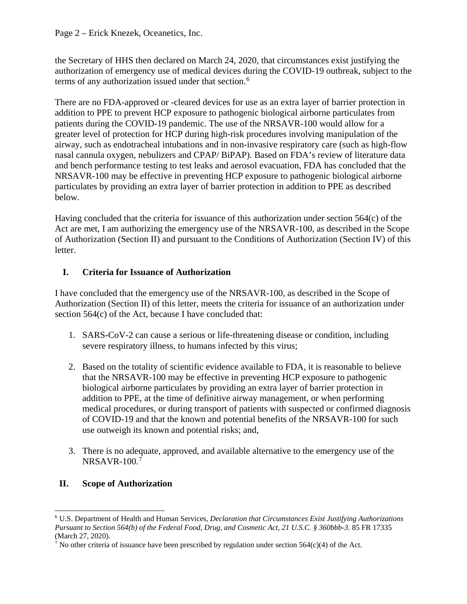the Secretary of HHS then declared on March 24, 2020, that circumstances exist justifying the authorization of emergency use of medical devices during the COVID-19 outbreak, subject to the terms of any authorization issued under that section.<sup>[6](#page-1-1)</sup>

There are no FDA-approved or -cleared devices for use as an extra layer of barrier protection in addition to PPE to prevent HCP exposure to pathogenic biological airborne particulates from patients during the COVID-19 pandemic. The use of the NRSAVR-100 would allow for a greater level of protection for HCP during high-risk procedures involving manipulation of the airway, such as endotracheal intubations and in non-invasive respiratory care (such as high-flow nasal cannula oxygen, nebulizers and CPAP/ BiPAP). Based on FDA's review of literature data and bench performance testing to test leaks and aerosol evacuation, FDA has concluded that the NRSAVR-100 may be effective in preventing HCP exposure to pathogenic biological airborne particulates by providing an extra layer of barrier protection in addition to PPE as described below.

Having concluded that the criteria for issuance of this authorization under section 564(c) of the Act are met, I am authorizing the emergency use of the NRSAVR-100, as described in the Scope of Authorization (Section [II\)](#page-1-0) and pursuant to the Conditions of Authorization (Section [IV\)](#page-4-0) of this letter.

# **I. Criteria for Issuance of Authorization**

I have concluded that the emergency use of the NRSAVR-100, as described in the Scope of Authorization (Section [II\)](#page-1-0) of this letter, meets the criteria for issuance of an authorization under section 564(c) of the Act, because I have concluded that:

- 1. SARS-CoV-2 can cause a serious or life-threatening disease or condition, including severe respiratory illness, to humans infected by this virus;
- 2. Based on the totality of scientific evidence available to FDA, it is reasonable to believe that the NRSAVR-100 may be effective in preventing HCP exposure to pathogenic biological airborne particulates by providing an extra layer of barrier protection in addition to PPE, at the time of definitive airway management, or when performing medical procedures, or during transport of patients with suspected or confirmed diagnosis of COVID-19 and that the known and potential benefits of the NRSAVR-100 for such use outweigh its known and potential risks; and,
- 3. There is no adequate, approved, and available alternative to the emergency use of the NRSAVR-100. [7](#page-1-2)

# <span id="page-1-0"></span>**II. Scope of Authorization**

<span id="page-1-1"></span> <sup>6</sup> U.S. Department of Health and Human Services, *Declaration that Circumstances Exist Justifying Authorizations Pursuant to Section 564(b) of the Federal Food, Drug, and Cosmetic Act, 21 U.S.C. § 360bbb-3*. 85 FR 17335 (March 27, 2020).

<span id="page-1-2"></span><sup>&</sup>lt;sup>7</sup> No other criteria of issuance have been prescribed by regulation under section 564(c)(4) of the Act.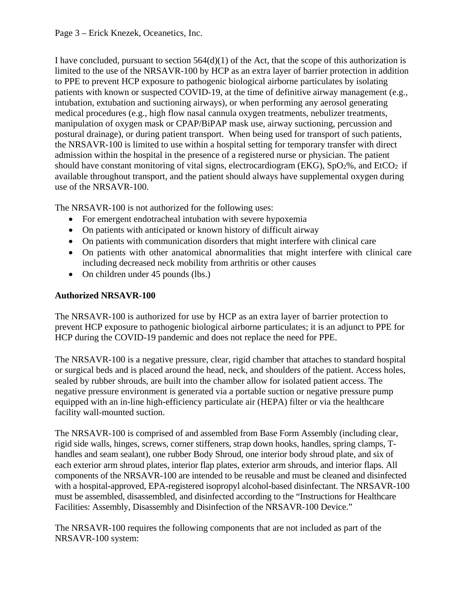I have concluded, pursuant to section  $564(d)(1)$  of the Act, that the scope of this authorization is limited to the use of the NRSAVR-100 by HCP as an extra layer of barrier protection in addition to PPE to prevent HCP exposure to pathogenic biological airborne particulates by isolating patients with known or suspected COVID-19, at the time of definitive airway management (e.g., intubation, extubation and suctioning airways), or when performing any aerosol generating medical procedures (e.g., high flow nasal cannula oxygen treatments, nebulizer treatments, manipulation of oxygen mask or CPAP/BiPAP mask use, airway suctioning, percussion and postural drainage), or during patient transport. When being used for transport of such patients, the NRSAVR-100 is limited to use within a hospital setting for temporary transfer with direct admission within the hospital in the presence of a registered nurse or physician. The patient should have constant monitoring of vital signs, electrocardiogram (EKG),  $SpO<sub>2</sub>%$ , and EtCO<sub>2</sub> if available throughout transport, and the patient should always have supplemental oxygen during use of the NRSAVR-100.

The NRSAVR-100 is not authorized for the following uses:

- For emergent endotracheal intubation with severe hypoxemia
- On patients with anticipated or known history of difficult airway
- On patients with communication disorders that might interfere with clinical care
- On patients with other anatomical abnormalities that might interfere with clinical care including decreased neck mobility from arthritis or other causes
- On children under 45 pounds (lbs.)

# **Authorized NRSAVR-100**

The NRSAVR-100 is authorized for use by HCP as an extra layer of barrier protection to prevent HCP exposure to pathogenic biological airborne particulates; it is an adjunct to PPE for HCP during the COVID-19 pandemic and does not replace the need for PPE.

The NRSAVR-100 is a negative pressure, clear, rigid chamber that attaches to standard hospital or surgical beds and is placed around the head, neck, and shoulders of the patient. Access holes, sealed by rubber shrouds, are built into the chamber allow for isolated patient access. The negative pressure environment is generated via a portable suction or negative pressure pump equipped with an in-line high-efficiency particulate air (HEPA) filter or via the healthcare facility wall-mounted suction.

The NRSAVR-100 is comprised of and assembled from Base Form Assembly (including clear, rigid side walls, hinges, screws, corner stiffeners, strap down hooks, handles, spring clamps, Thandles and seam sealant), one rubber Body Shroud, one interior body shroud plate, and six of each exterior arm shroud plates, interior flap plates, exterior arm shrouds, and interior flaps. All components of the NRSAVR-100 are intended to be reusable and must be cleaned and disinfected with a hospital-approved, EPA-registered isopropyl alcohol-based disinfectant. The NRSAVR-100 must be assembled, disassembled, and disinfected according to the "Instructions for Healthcare Facilities: Assembly, Disassembly and Disinfection of the NRSAVR-100 Device."

The NRSAVR-100 requires the following components that are not included as part of the NRSAVR-100 system: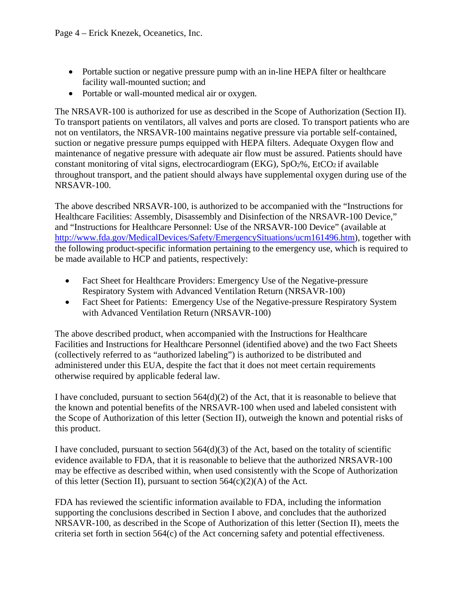- Portable suction or negative pressure pump with an in-line HEPA filter or healthcare facility wall-mounted suction; and
- Portable or wall-mounted medical air or oxygen.

The NRSAVR-100 is authorized for use as described in the Scope of Authorization (Section [II\)](#page-1-0). To transport patients on ventilators, all valves and ports are closed. To transport patients who are not on ventilators, the NRSAVR-100 maintains negative pressure via portable self-contained, suction or negative pressure pumps equipped with HEPA filters. Adequate Oxygen flow and maintenance of negative pressure with adequate air flow must be assured. Patients should have constant monitoring of vital signs, electrocardiogram (EKG),  $SpO<sub>2</sub>%$ , EtCO<sub>2</sub> if available throughout transport, and the patient should always have supplemental oxygen during use of the NRSAVR-100.

The above described NRSAVR-100, is authorized to be accompanied with the "Instructions for Healthcare Facilities: Assembly, Disassembly and Disinfection of the NRSAVR-100 Device," and "Instructions for Healthcare Personnel: Use of the NRSAVR-100 Device" (available at [http://www.fda.gov/MedicalDevices/Safety/EmergencySituations/ucm161496.htm\)](http://www.fda.gov/MedicalDevices/Safety/EmergencySituations/ucm161496.htm), together with the following product-specific information pertaining to the emergency use, which is required to be made available to HCP and patients, respectively:

- Fact Sheet for Healthcare Providers: Emergency Use of the Negative-pressure Respiratory System with Advanced Ventilation Return (NRSAVR-100)
- Fact Sheet for Patients: Emergency Use of the Negative-pressure Respiratory System with Advanced Ventilation Return (NRSAVR-100)

The above described product, when accompanied with the Instructions for Healthcare Facilities and Instructions for Healthcare Personnel (identified above) and the two Fact Sheets (collectively referred to as "authorized labeling") is authorized to be distributed and administered under this EUA, despite the fact that it does not meet certain requirements otherwise required by applicable federal law.

I have concluded, pursuant to section  $564(d)(2)$  of the Act, that it is reasonable to believe that the known and potential benefits of the NRSAVR-100 when used and labeled consistent with the Scope of Authorization of this letter (Section [II\)](#page-1-0), outweigh the known and potential risks of this product.

I have concluded, pursuant to section  $564(d)(3)$  of the Act, based on the totality of scientific evidence available to FDA, that it is reasonable to believe that the authorized NRSAVR-100 may be effective as described within, when used consistently with the Scope of Authorization of this letter (Section [II\)](#page-1-0), pursuant to section  $564(c)(2)(A)$  of the Act.

FDA has reviewed the scientific information available to FDA, including the information supporting the conclusions described in Section [I above,](#page-0-5) and concludes that the authorized NRSAVR-100, as described in the Scope of Authorization of this letter (Section [II\)](#page-1-0), meets the criteria set forth in section 564(c) of the Act concerning safety and potential effectiveness.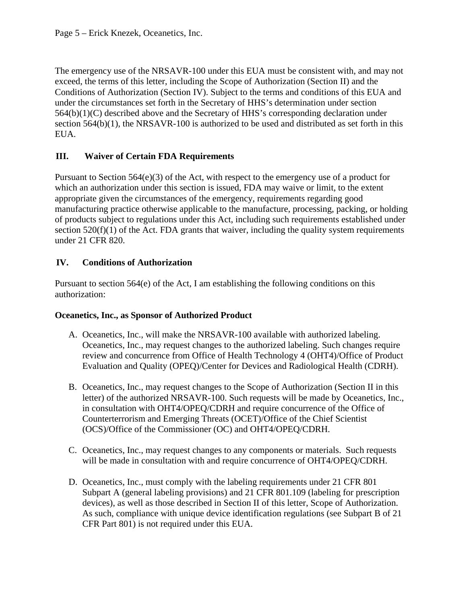The emergency use of the NRSAVR-100 under this EUA must be consistent with, and may not exceed, the terms of this letter, including the Scope of Authorization (Section [II\)](#page-1-0) and the Conditions of Authorization (Section [IV\)](#page-4-0). Subject to the terms and conditions of this EUA and under the circumstances set forth in the Secretary of HHS's determination under section 564(b)(1)(C) described above and the Secretary of HHS's corresponding declaration under section 564(b)(1), the NRSAVR-100 is authorized to be used and distributed as set forth in this EUA.

# **III. Waiver of Certain FDA Requirements**

Pursuant to Section 564(e)(3) of the Act, with respect to the emergency use of a product for which an authorization under this section is issued, FDA may waive or limit, to the extent appropriate given the circumstances of the emergency, requirements regarding good manufacturing practice otherwise applicable to the manufacture, processing, packing, or holding of products subject to regulations under this Act, including such requirements established under section  $520(f)(1)$  of the Act. FDA grants that waiver, including the quality system requirements under 21 CFR 820.

# <span id="page-4-0"></span>**IV. Conditions of Authorization**

Pursuant to section  $564(e)$  of the Act, I am establishing the following conditions on this authorization:

## **Oceanetics, Inc., as Sponsor of Authorized Product**

- A. Oceanetics, Inc., will make the NRSAVR-100 available with authorized labeling. Oceanetics, Inc., may request changes to the authorized labeling. Such changes require review and concurrence from Office of Health Technology 4 (OHT4)/Office of Product Evaluation and Quality (OPEQ)/Center for Devices and Radiological Health (CDRH).
- B. Oceanetics, Inc., may request changes to the Scope of Authorization (Section II in this letter) of the authorized NRSAVR-100. Such requests will be made by Oceanetics, Inc., in consultation with OHT4/OPEQ/CDRH and require concurrence of the Office of Counterterrorism and Emerging Threats (OCET)/Office of the Chief Scientist (OCS)/Office of the Commissioner (OC) and OHT4/OPEQ/CDRH.
- C. Oceanetics, Inc., may request changes to any components or materials. Such requests will be made in consultation with and require concurrence of OHT4/OPEQ/CDRH.
- D. Oceanetics, Inc., must comply with the labeling requirements under 21 CFR 801 Subpart A (general labeling provisions) and 21 CFR 801.109 (labeling for prescription devices), as well as those described in Section II of this letter, Scope of Authorization. As such, compliance with unique device identification regulations (see Subpart B of 21 CFR Part 801) is not required under this EUA.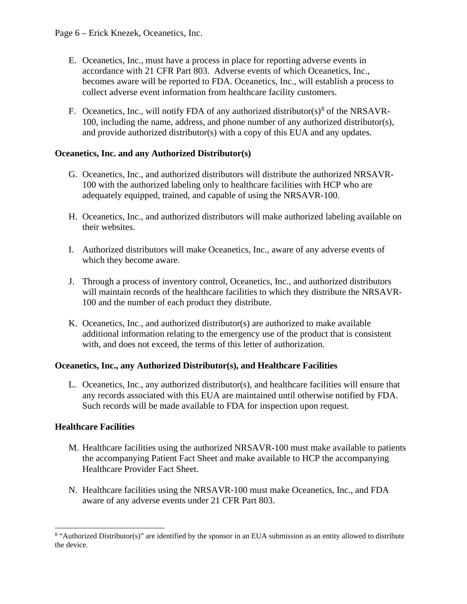- E. Oceanetics, Inc., must have a process in place for reporting adverse events in accordance with 21 CFR Part 803. Adverse events of which Oceanetics, Inc., becomes aware will be reported to FDA. Oceanetics, Inc., will establish a process to collect adverse event information from healthcare facility customers.
- F. Oceanetics, Inc., will notify FDA of any authorized distributor(s)<sup>[8](#page-5-0)</sup> of the NRSAVR-100, including the name, address, and phone number of any authorized distributor(s), and provide authorized distributor(s) with a copy of this EUA and any updates.

## **Oceanetics, Inc. and any Authorized Distributor(s)**

- G. Oceanetics, Inc., and authorized distributors will distribute the authorized NRSAVR-100 with the authorized labeling only to healthcare facilities with HCP who are adequately equipped, trained, and capable of using the NRSAVR-100.
- H. Oceanetics, Inc., and authorized distributors will make authorized labeling available on their websites.
- I. Authorized distributors will make Oceanetics, Inc., aware of any adverse events of which they become aware.
- J. Through a process of inventory control, Oceanetics, Inc., and authorized distributors will maintain records of the healthcare facilities to which they distribute the NRSAVR-100 and the number of each product they distribute.
- K. Oceanetics, Inc., and authorized distributor(s) are authorized to make available additional information relating to the emergency use of the product that is consistent with, and does not exceed, the terms of this letter of authorization.

## **Oceanetics, Inc., any Authorized Distributor(s), and Healthcare Facilities**

L. Oceanetics, Inc., any authorized distributor(s), and healthcare facilities will ensure that any records associated with this EUA are maintained until otherwise notified by FDA. Such records will be made available to FDA for inspection upon request.

## **Healthcare Facilities**

- M. Healthcare facilities using the authorized NRSAVR-100 must make available to patients the accompanying Patient Fact Sheet and make available to HCP the accompanying Healthcare Provider Fact Sheet.
- N. Healthcare facilities using the NRSAVR-100 must make Oceanetics, Inc., and FDA aware of any adverse events under 21 CFR Part 803.

<span id="page-5-0"></span><sup>&</sup>lt;sup>8</sup> "Authorized Distributor(s)" are identified by the sponsor in an EUA submission as an entity allowed to distribute the device.